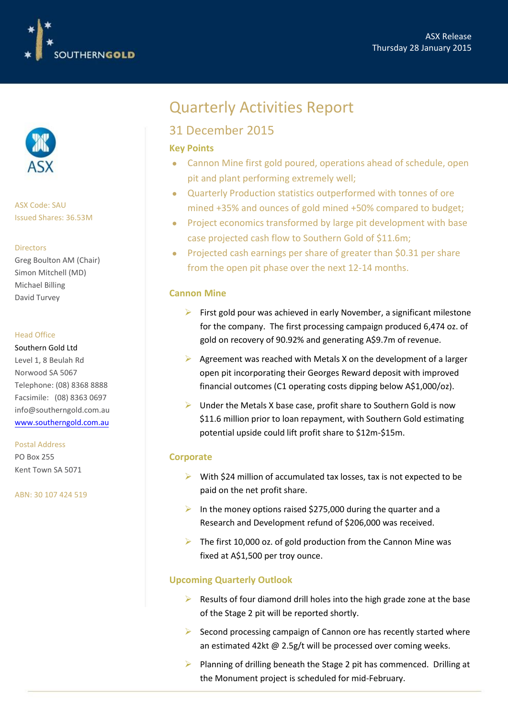



ASX Code: SAU Issued Shares: 36.53M

#### Directors

Greg Boulton AM (Chair) Simon Mitchell (MD) Michael Billing David Turvey

#### Head Office

Southern Gold Ltd Level 1, 8 Beulah Rd Norwood SA 5067 Telephone: (08) 8368 8888 Facsimile: (08) 8363 0697

[info@southerngold.com.au](http://www.southerngold.com.au/)  www.southerngold.com.au

#### Postal Address

PO Box 255 Kent Town SA 5071

ABN: 30 107 424 519

# Quarterly Activities Report

## 31 December 2015

#### **Key Points**

- Cannon Mine first gold poured, operations ahead of schedule, open pit and plant performing extremely well;
- Quarterly Production statistics outperformed with tonnes of ore mined +35% and ounces of gold mined +50% compared to budget;
- Project economics transformed by large pit development with base case projected cash flow to Southern Gold of \$11.6m;
- Projected cash earnings per share of greater than \$0.31 per share from the open pit phase over the next 12-14 months.

#### **Cannon Mine**

- $\triangleright$  First gold pour was achieved in early November, a significant milestone for the company. The first processing campaign produced 6,474 oz. of gold on recovery of 90.92% and generating A\$9.7m of revenue.
- $\triangleright$  Agreement was reached with Metals X on the development of a larger open pit incorporating their Georges Reward deposit with improved financial outcomes (C1 operating costs dipping below A\$1,000/oz).
- $\triangleright$  Under the Metals X base case, profit share to Southern Gold is now \$11.6 million prior to loan repayment, with Southern Gold estimating potential upside could lift profit share to \$12m-\$15m.

#### **Corporate**

- $\triangleright$  With \$24 million of accumulated tax losses, tax is not expected to be paid on the net profit share.
- In the money options raised \$275,000 during the quarter and a Research and Development refund of \$206,000 was received.
- $\triangleright$  The first 10,000 oz. of gold production from the Cannon Mine was fixed at A\$1,500 per troy ounce.

### **Upcoming Quarterly Outlook**

- $\triangleright$  Results of four diamond drill holes into the high grade zone at the base of the Stage 2 pit will be reported shortly.
- $\triangleright$  Second processing campaign of Cannon ore has recently started where an estimated 42kt @ 2.5g/t will be processed over coming weeks.
- Planning of drilling beneath the Stage 2 pit has commenced. Drilling at the Monument project is scheduled for mid-February.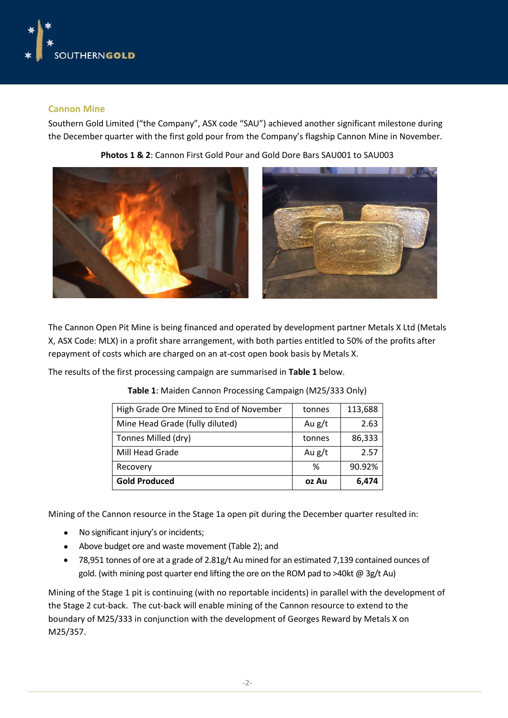

#### **Cannon Mine**

Southern Gold Limited ("the Company", ASX code "SAU") achieved another significant milestone during the December quarter with the first gold pour from the Company's flagship Cannon Mine in November.





The Cannon Open Pit Mine is being financed and operated by development partner Metals X Ltd (Metals X, ASX Code: MLX) in a profit share arrangement, with both parties entitled to 50% of the profits after repayment of costs which are charged on an at-cost open book basis by Metals X.

The results of the first processing campaign are summarised in **Table 1** below.

| High Grade Ore Mined to End of November | tonnes   | 113,688 |
|-----------------------------------------|----------|---------|
| Mine Head Grade (fully diluted)         | Au $g/t$ | 2.63    |
| Tonnes Milled (dry)                     | tonnes   | 86,333  |
| Mill Head Grade                         | Au $g/t$ | 2.57    |
| Recovery                                | %        | 90.92%  |
| <b>Gold Produced</b>                    | oz Au    | 6,474   |

**Table 1**: Maiden Cannon Processing Campaign (M25/333 Only)

Mining of the Cannon resource in the Stage 1a open pit during the December quarter resulted in:

- No significant injury's or incidents;
- Above budget ore and waste movement (Table 2); and
- 78,951 tonnes of ore at a grade of 2.81g/t Au mined for an estimated 7,139 contained ounces of gold. (with mining post quarter end lifting the ore on the ROM pad to >40kt @ 3g/t Au)

Mining of the Stage 1 pit is continuing (with no reportable incidents) in parallel with the development of the Stage 2 cut-back. The cut-back will enable mining of the Cannon resource to extend to the boundary of M25/333 in conjunction with the development of Georges Reward by Metals X on M25/357.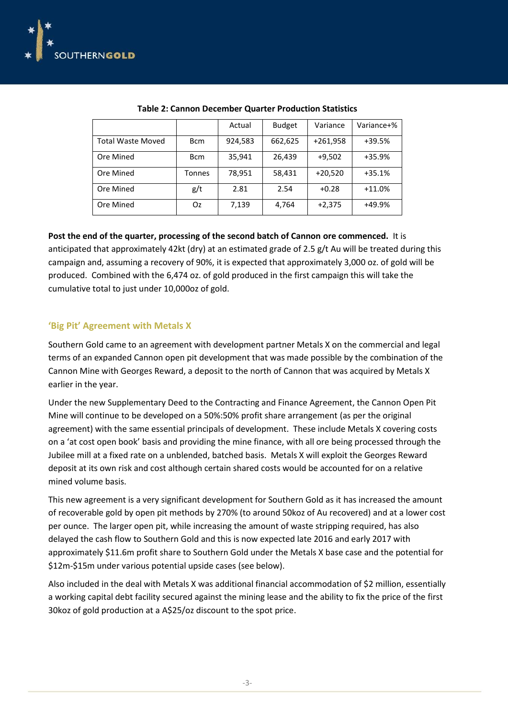

|                          |             | Actual  | <b>Budget</b> | Variance   | Variance+% |
|--------------------------|-------------|---------|---------------|------------|------------|
| <b>Total Waste Moved</b> | <b>B</b> cm | 924,583 | 662,625       | $+261,958$ | $+39.5%$   |
| Ore Mined                | <b>Bcm</b>  | 35,941  | 26,439        | $+9,502$   | $+35.9%$   |
| Ore Mined                | Tonnes      | 78,951  | 58,431        | $+20,520$  | $+35.1%$   |
|                          |             |         |               |            |            |
| Ore Mined                | g/t         | 2.81    | 2.54          | $+0.28$    | $+11.0%$   |
| Ore Mined                | Oz          | 7,139   | 4,764         | $+2,375$   | +49.9%     |

#### **Post the end of the quarter, processing of the second batch of Cannon ore commenced.** It is

anticipated that approximately 42kt (dry) at an estimated grade of 2.5 g/t Au will be treated during this campaign and, assuming a recovery of 90%, it is expected that approximately 3,000 oz. of gold will be produced. Combined with the 6,474 oz. of gold produced in the first campaign this will take the cumulative total to just under 10,000oz of gold.

#### **'Big Pit' Agreement with Metals X**

Southern Gold came to an agreement with development partner Metals X on the commercial and legal terms of an expanded Cannon open pit development that was made possible by the combination of the Cannon Mine with Georges Reward, a deposit to the north of Cannon that was acquired by Metals X earlier in the year.

Under the new Supplementary Deed to the Contracting and Finance Agreement, the Cannon Open Pit Mine will continue to be developed on a 50%:50% profit share arrangement (as per the original agreement) with the same essential principals of development. These include Metals X covering costs on a 'at cost open book' basis and providing the mine finance, with all ore being processed through the Jubilee mill at a fixed rate on a unblended, batched basis. Metals X will exploit the Georges Reward deposit at its own risk and cost although certain shared costs would be accounted for on a relative mined volume basis.

This new agreement is a very significant development for Southern Gold as it has increased the amount of recoverable gold by open pit methods by 270% (to around 50koz of Au recovered) and at a lower cost per ounce. The larger open pit, while increasing the amount of waste stripping required, has also delayed the cash flow to Southern Gold and this is now expected late 2016 and early 2017 with approximately \$11.6m profit share to Southern Gold under the Metals X base case and the potential for \$12m-\$15m under various potential upside cases (see below).

Also included in the deal with Metals X was additional financial accommodation of \$2 million, essentially a working capital debt facility secured against the mining lease and the ability to fix the price of the first 30koz of gold production at a A\$25/oz discount to the spot price.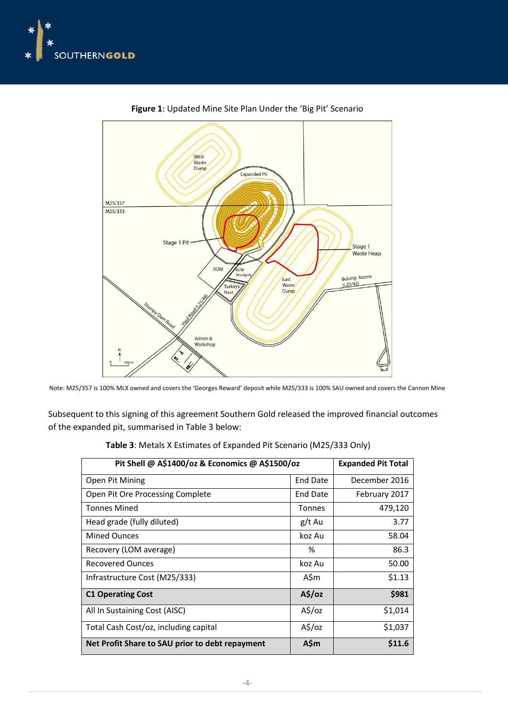



**Figure 1**: Updated Mine Site Plan Under the 'Big Pit' Scenario

Subsequent to this signing of this agreement Southern Gold released the improved financial outcomes of the expanded pit, summarised in Table 3 below:

| Pit Shell @ A\$1400/oz & Economics @ A\$1500/oz | <b>Expanded Pit Total</b> |               |
|-------------------------------------------------|---------------------------|---------------|
| Open Pit Mining                                 | End Date                  | December 2016 |
| Open Pit Ore Processing Complete                | End Date                  | February 2017 |
| Tonnes Mined                                    | <b>Tonnes</b>             | 479,120       |
| Head grade (fully diluted)                      | g/t Au                    | 3.77          |
| <b>Mined Ounces</b>                             | koz Au                    | 58.04         |
| Recovery (LOM average)                          | %                         | 86.3          |
| <b>Recovered Ounces</b>                         | koz Au                    | 50.00         |
| Infrastructure Cost (M25/333)                   | A\$m                      | \$1.13        |
| <b>C1 Operating Cost</b>                        | $A\frac{2}{3}$ /oz        | \$981         |
| All In Sustaining Cost (AISC)                   | $A\frac{1}{2}$ /oz        | \$1,014       |
| Total Cash Cost/oz, including capital           | $A\frac{2}{3}$ /oz        | \$1,037       |
| Net Profit Share to SAU prior to debt repayment | A\$m                      | \$11.6        |

**Table 3**: Metals X Estimates of Expanded Pit Scenario (M25/333 Only)

Note: M25/357 is 100% MLX owned and covers the 'Georges Reward' deposit while M25/333 is 100% SAU owned and covers the Cannon Mine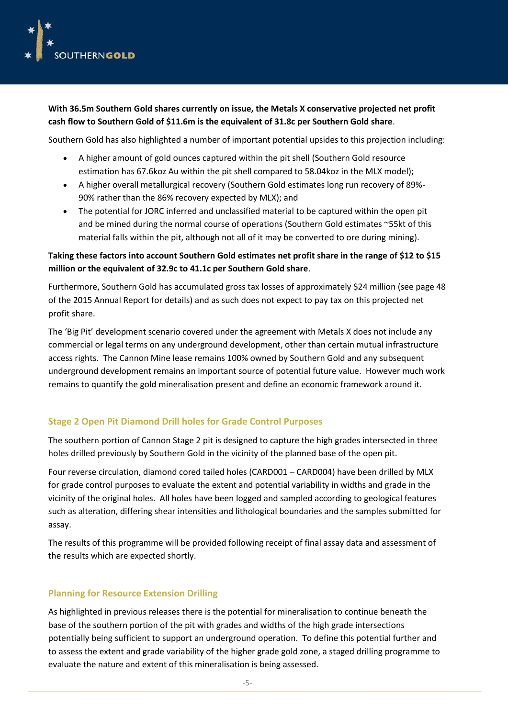

**With 36.5m Southern Gold shares currently on issue, the Metals X conservative projected net profit cash flow to Southern Gold of \$11.6m is the equivalent of 31.8c per Southern Gold share**.

Southern Gold has also highlighted a number of important potential upsides to this projection including:

- A higher amount of gold ounces captured within the pit shell (Southern Gold resource estimation has 67.6koz Au within the pit shell compared to 58.04koz in the MLX model);
- A higher overall metallurgical recovery (Southern Gold estimates long run recovery of 89%- 90% rather than the 86% recovery expected by MLX); and
- The potential for JORC inferred and unclassified material to be captured within the open pit and be mined during the normal course of operations (Southern Gold estimates ~55kt of this material falls within the pit, although not all of it may be converted to ore during mining).

### **Taking these factors into account Southern Gold estimates net profit share in the range of \$12 to \$15 million or the equivalent of 32.9c to 41.1c per Southern Gold share**.

Furthermore, Southern Gold has accumulated gross tax losses of approximately \$24 million (see page 48 of the 2015 Annual Report for details) and as such does not expect to pay tax on this projected net profit share.

The 'Big Pit' development scenario covered under the agreement with Metals X does not include any commercial or legal terms on any underground development, other than certain mutual infrastructure access rights. The Cannon Mine lease remains 100% owned by Southern Gold and any subsequent underground development remains an important source of potential future value. However much work remains to quantify the gold mineralisation present and define an economic framework around it.

### **Stage 2 Open Pit Diamond Drill holes for Grade Control Purposes**

The southern portion of Cannon Stage 2 pit is designed to capture the high grades intersected in three holes drilled previously by Southern Gold in the vicinity of the planned base of the open pit.

Four reverse circulation, diamond cored tailed holes (CARD001 – CARD004) have been drilled by MLX for grade control purposes to evaluate the extent and potential variability in widths and grade in the vicinity of the original holes. All holes have been logged and sampled according to geological features such as alteration, differing shear intensities and lithological boundaries and the samples submitted for assay.

The results of this programme will be provided following receipt of final assay data and assessment of the results which are expected shortly.

#### **Planning for Resource Extension Drilling**

As highlighted in previous releases there is the potential for mineralisation to continue beneath the base of the southern portion of the pit with grades and widths of the high grade intersections potentially being sufficient to support an underground operation. To define this potential further and to assess the extent and grade variability of the higher grade gold zone, a staged drilling programme to evaluate the nature and extent of this mineralisation is being assessed.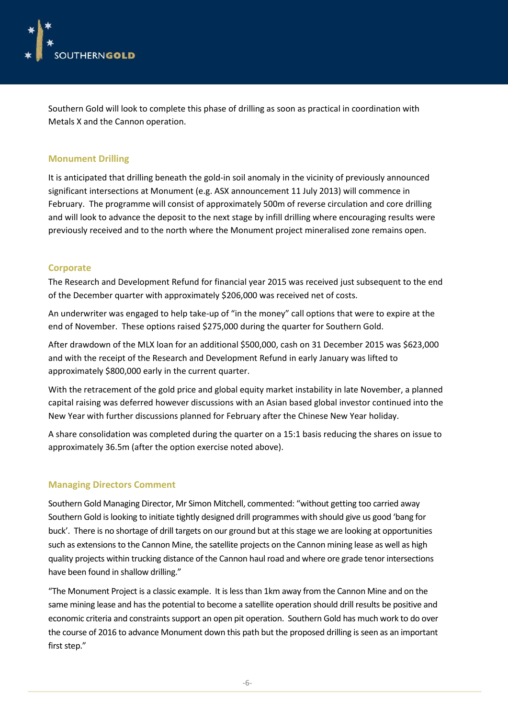

Southern Gold will look to complete this phase of drilling as soon as practical in coordination with Metals X and the Cannon operation.

#### **Monument Drilling**

It is anticipated that drilling beneath the gold-in soil anomaly in the vicinity of previously announced significant intersections at Monument (e.g. ASX announcement 11 July 2013) will commence in February. The programme will consist of approximately 500m of reverse circulation and core drilling and will look to advance the deposit to the next stage by infill drilling where encouraging results were previously received and to the north where the Monument project mineralised zone remains open.

#### **Corporate**

The Research and Development Refund for financial year 2015 was received just subsequent to the end of the December quarter with approximately \$206,000 was received net of costs.

An underwriter was engaged to help take-up of "in the money" call options that were to expire at the end of November. These options raised \$275,000 during the quarter for Southern Gold.

After drawdown of the MLX loan for an additional \$500,000, cash on 31 December 2015 was \$623,000 and with the receipt of the Research and Development Refund in early January was lifted to approximately \$800,000 early in the current quarter.

With the retracement of the gold price and global equity market instability in late November, a planned capital raising was deferred however discussions with an Asian based global investor continued into the New Year with further discussions planned for February after the Chinese New Year holiday.

A share consolidation was completed during the quarter on a 15:1 basis reducing the shares on issue to approximately 36.5m (after the option exercise noted above).

#### **Managing Directors Comment**

Southern Gold Managing Director, Mr Simon Mitchell, commented: "without getting too carried away Southern Gold is looking to initiate tightly designed drill programmes with should give us good 'bang for buck'. There is no shortage of drill targets on our ground but at this stage we are looking at opportunities such as extensions to the Cannon Mine, the satellite projects on the Cannon mining lease as well as high quality projects within trucking distance of the Cannon haul road and where ore grade tenor intersections have been found in shallow drilling."

"The Monument Project is a classic example. It is less than 1km away from the Cannon Mine and on the same mining lease and has the potential to become a satellite operation should drill results be positive and economic criteria and constraints support an open pit operation. Southern Gold has much work to do over the course of 2016 to advance Monument down this path but the proposed drilling is seen as an important first step."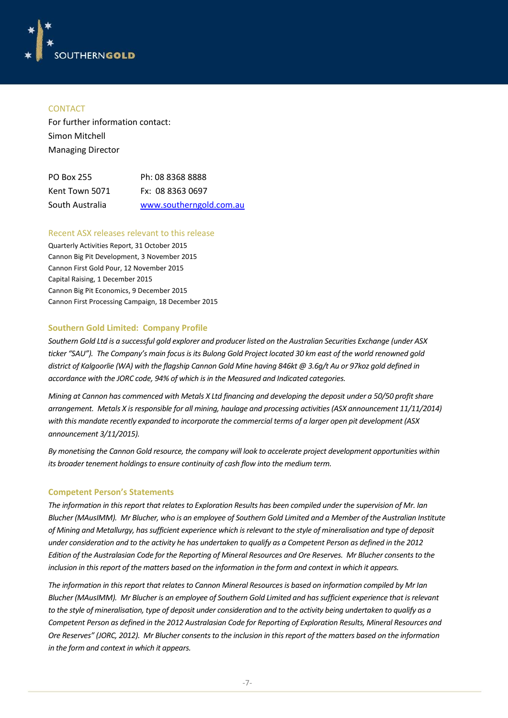

#### **CONTACT**

For further information contact: Simon Mitchell Managing Director

| PO Box 255      | Ph: 08 8368 8888        |
|-----------------|-------------------------|
| Kent Town 5071  | Fx: 08 8363 0697        |
| South Australia | www.southerngold.com.au |

#### Recent ASX releases relevant to this release

Quarterly Activities Report, 31 October 2015 Cannon Big Pit Development, 3 November 2015 Cannon First Gold Pour, 12 November 2015 Capital Raising, 1 December 2015 Cannon Big Pit Economics, 9 December 2015 Cannon First Processing Campaign, 18 December 2015

#### **Southern Gold Limited: Company Profile**

*Southern Gold Ltd is a successful gold explorer and producer listed on the Australian Securities Exchange (under ASX ticker "SAU"). The Company's main focus is its Bulong Gold Project located 30 km east of the world renowned gold district of Kalgoorlie (WA) with the flagship Cannon Gold Mine having 846kt @ 3.6g/t Au or 97koz gold defined in accordance with the JORC code, 94% of which is in the Measured and Indicated categories.*

*Mining at Cannon has commenced with Metals X Ltd financing and developing the deposit under a 50/50 profit share arrangement. Metals X is responsible for all mining, haulage and processing activities (ASX announcement 11/11/2014) with this mandate recently expanded to incorporate the commercial terms of a larger open pit development (ASX announcement 3/11/2015).*

*By monetising the Cannon Gold resource, the company will look to accelerate project development opportunities within its broader tenement holdings to ensure continuity of cash flow into the medium term.*

#### **Competent Person's Statements**

*The information in this report that relates to Exploration Results has been compiled under the supervision of Mr. Ian Blucher (MAusIMM). Mr Blucher, who is an employee of Southern Gold Limited and a Member of the Australian Institute of Mining and Metallurgy, has sufficient experience which is relevant to the style of mineralisation and type of deposit under consideration and to the activity he has undertaken to qualify as a Competent Person as defined in the 2012 Edition of the Australasian Code for the Reporting of Mineral Resources and Ore Reserves. Mr Blucher consents to the inclusion in this report of the matters based on the information in the form and context in which it appears.*

*The information in this report that relates to Cannon Mineral Resources is based on information compiled by Mr Ian Blucher (MAusIMM). Mr Blucher is an employee of Southern Gold Limited and has sufficient experience that is relevant to the style of mineralisation, type of deposit under consideration and to the activity being undertaken to qualify as a Competent Person as defined in the 2012 Australasian Code for Reporting of Exploration Results, Mineral Resources and Ore Reserves" (JORC, 2012). Mr Blucher consents to the inclusion in this report of the matters based on the information in the form and context in which it appears.*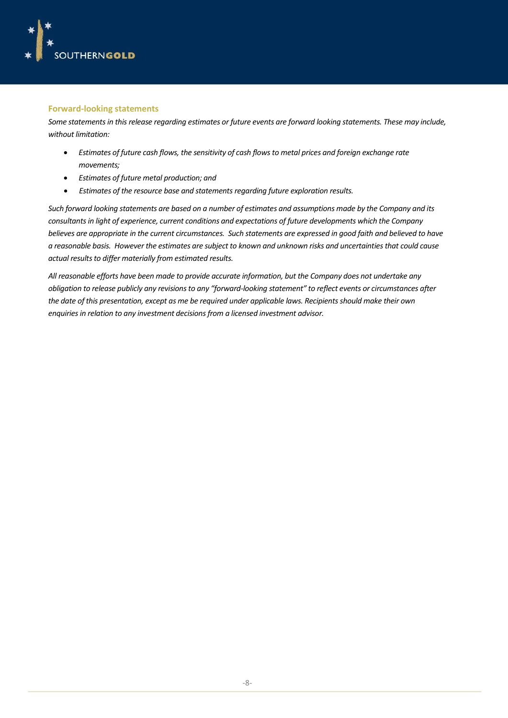

#### **Forward-looking statements**

*Some statements in this release regarding estimates or future events are forward looking statements. These may include, without limitation:*

- *Estimates of future cash flows, the sensitivity of cash flows to metal prices and foreign exchange rate movements;*
- *Estimates of future metal production; and*
- *Estimates of the resource base and statements regarding future exploration results.*

*Such forward looking statements are based on a number of estimates and assumptions made by the Company and its consultants in light of experience, current conditions and expectations of future developments which the Company believes are appropriate in the current circumstances. Such statements are expressed in good faith and believed to have a reasonable basis. However the estimates are subject to known and unknown risks and uncertainties that could cause actual results to differ materially from estimated results.*

*All reasonable efforts have been made to provide accurate information, but the Company does not undertake any obligation to release publicly any revisions to any "forward-looking statement" to reflect events or circumstances after the date of this presentation, except as me be required under applicable laws. Recipients should make their own enquiries in relation to any investment decisions from a licensed investment advisor.*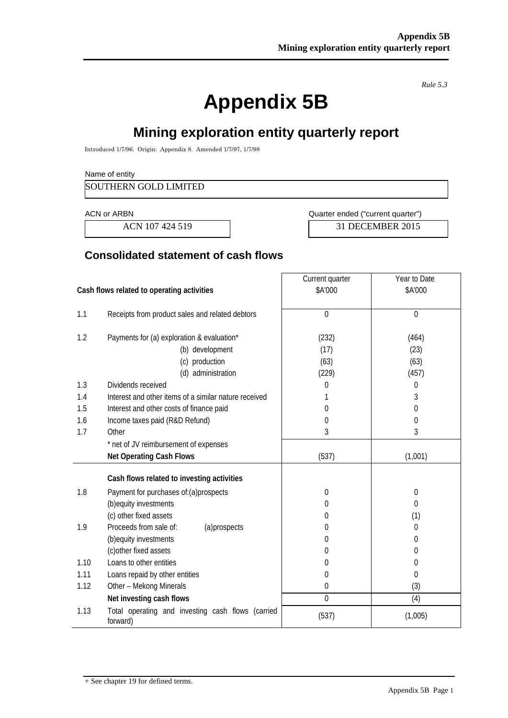*Rule 5.3*

# **Appendix 5B**

# **Mining exploration entity quarterly report**

Introduced 1/7/96. Origin: Appendix 8. Amended 1/7/97, 1/7/98

#### Name of entity

SOUTHERN GOLD LIMITED

ACN or ARBN **ACN** or ARBN **ACN** Ouarter ended ("current quarter")

ACN 107 424 519 31 DECEMBER 2015

## **Consolidated statement of cash flows**

|                                            |                                                               | Current quarter | Year to Date |
|--------------------------------------------|---------------------------------------------------------------|-----------------|--------------|
| Cash flows related to operating activities |                                                               | \$A'000         | \$A'000      |
|                                            |                                                               |                 |              |
| 1.1                                        | Receipts from product sales and related debtors               | $\mathbf{0}$    | $\Omega$     |
|                                            |                                                               |                 |              |
| 1.2                                        | Payments for (a) exploration & evaluation*                    | (232)           | (464)        |
|                                            | (b) development                                               | (17)            | (23)         |
|                                            | (c) production                                                | (63)            | (63)         |
|                                            | (d) administration                                            | (229)           | (457)        |
| 1.3                                        | Dividends received                                            | 0               | 0            |
| 1.4                                        | Interest and other items of a similar nature received         |                 | 3            |
| 1.5                                        | Interest and other costs of finance paid                      | 0               | 0            |
| 1.6                                        | Income taxes paid (R&D Refund)                                | 0               | 0            |
| 1.7                                        | Other                                                         | 3               | 3            |
|                                            | * net of JV reimbursement of expenses                         |                 |              |
|                                            | <b>Net Operating Cash Flows</b>                               | (537)           | (1,001)      |
|                                            |                                                               |                 |              |
|                                            | Cash flows related to investing activities                    |                 |              |
| 1.8                                        | Payment for purchases of: (a) prospects                       | $\theta$        | 0            |
|                                            | (b) equity investments                                        | 0               | 0            |
|                                            | (c) other fixed assets                                        | 0               | (1)          |
| 1.9                                        | Proceeds from sale of:<br>(a)prospects                        | 0               | 0            |
|                                            | (b) equity investments                                        | 0               | 0            |
|                                            | (c) other fixed assets                                        | 0               | 0            |
| 1.10                                       | Loans to other entities                                       | 0               | 0            |
| 1.11                                       | Loans repaid by other entities                                | $\mathbf 0$     | 0            |
| 1.12                                       | Other - Mekong Minerals                                       | $\mathbf 0$     | (3)          |
|                                            | Net investing cash flows                                      | $\mathbf{0}$    | (4)          |
| 1.13                                       | Total operating and investing cash flows (carried<br>forward) | (537)           | (1,005)      |

<sup>+</sup> See chapter 19 for defined terms.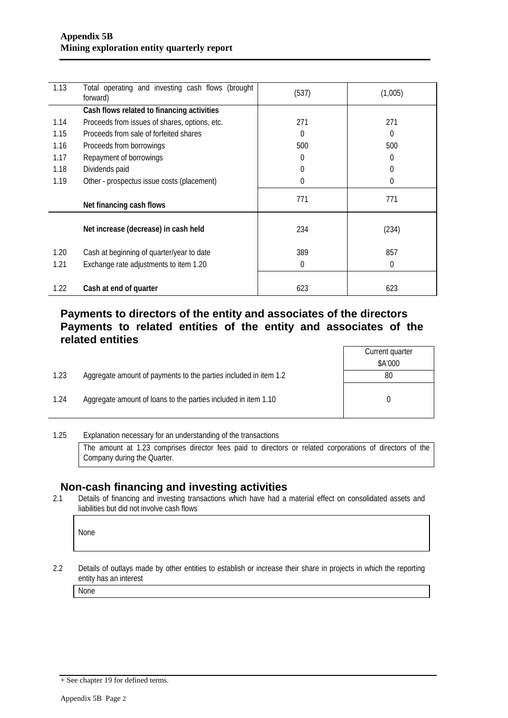| 1.13 | Total operating and investing cash flows (brought<br>forward) | (537)    | (1,005)  |
|------|---------------------------------------------------------------|----------|----------|
|      | Cash flows related to financing activities                    |          |          |
| 1.14 | Proceeds from issues of shares, options, etc.                 | 271      | 271      |
| 1.15 | Proceeds from sale of forfeited shares                        | $\Omega$ | $\Omega$ |
| 1.16 | Proceeds from borrowings                                      | 500      | 500      |
| 1.17 | Repayment of borrowings                                       | 0        | 0        |
| 1.18 | Dividends paid                                                | $\Omega$ | 0        |
| 1.19 | Other - prospectus issue costs (placement)                    | $\theta$ | $\Omega$ |
|      | Net financing cash flows                                      | 771      | 771      |
|      | Net increase (decrease) in cash held                          | 234      | (234)    |
| 1.20 | Cash at beginning of quarter/year to date                     | 389      | 857      |
| 1.21 | Exchange rate adjustments to item 1.20                        | $\theta$ | $\Omega$ |
| 1.22 | Cash at end of quarter                                        | 623      | 623      |

## **Payments to directors of the entity and associates of the directors Payments to related entities of the entity and associates of the related entities**

- 1.23 Aggregate amount of payments to the parties included in item 1.2
- 1.24 Aggregate amount of loans to the parties included in item 1.10

| Current quarter |
|-----------------|
| \$A'000         |
| 80              |
| N               |

1.25 Explanation necessary for an understanding of the transactions The amount at 1.23 comprises director fees paid to directors or related corporations of directors of the Company during the Quarter.

# **Non-cash financing and investing activities**<br>2.1 Details of financing and investing transactions which have had a

Details of financing and investing transactions which have had a material effect on consolidated assets and liabilities but did not involve cash flows

None

2.2 Details of outlays made by other entities to establish or increase their share in projects in which the reporting entity has an interest

None

<sup>+</sup> See chapter 19 for defined terms.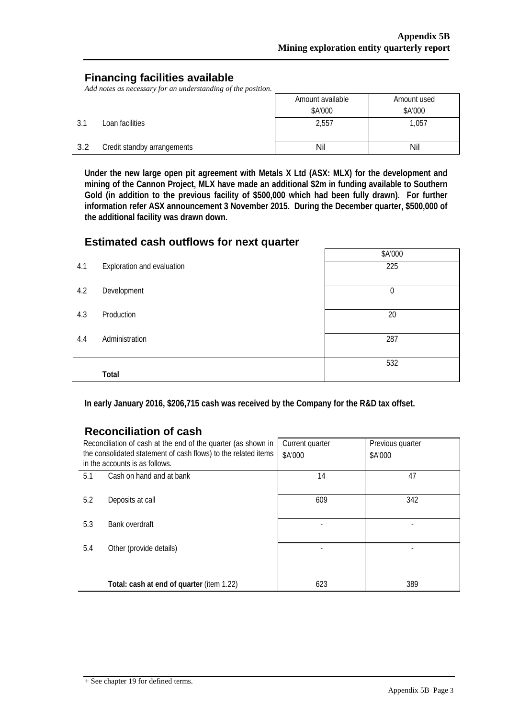## **Financing facilities available**

*Add notes as necessary for an understanding of the position.*

|     |                             | Amount available | Amount used |
|-----|-----------------------------|------------------|-------------|
|     |                             | \$A'000          | \$A'000     |
| 3.1 | Loan facilities             | 2,557            | 1,057       |
| 3.2 | Credit standby arrangements | Nil              | Nil         |

**Under the new large open pit agreement with Metals X Ltd (ASX: MLX) for the development and mining of the Cannon Project, MLX have made an additional \$2m in funding available to Southern Gold (in addition to the previous facility of \$500,000 which had been fully drawn). For further information refer ASX announcement 3 November 2015. During the December quarter, \$500,000 of the additional facility was drawn down.**

## **Estimated cash outflows for next quarter**

|     |                            | \$A'000     |
|-----|----------------------------|-------------|
| 4.1 | Exploration and evaluation | 225         |
| 4.2 | Development                | $\mathbf 0$ |
| 4.3 | Production                 | 20          |
| 4.4 | Administration             | 287         |
|     | Total                      | 532         |

**In early January 2016, \$206,715 cash was received by the Company for the R&D tax offset.**

## **Reconciliation of cash**

| Reconciliation of cash at the end of the quarter (as shown in<br>the consolidated statement of cash flows) to the related items<br>in the accounts is as follows. |                                           | Current quarter<br>\$A'000 | Previous quarter<br>\$A'000 |
|-------------------------------------------------------------------------------------------------------------------------------------------------------------------|-------------------------------------------|----------------------------|-----------------------------|
| 5.1                                                                                                                                                               | Cash on hand and at bank                  | 14                         | 47                          |
| 5.2                                                                                                                                                               | Deposits at call                          | 609                        | 342                         |
| 5.3                                                                                                                                                               | Bank overdraft                            |                            |                             |
| 5.4                                                                                                                                                               | Other (provide details)                   |                            |                             |
|                                                                                                                                                                   | Total: cash at end of quarter (item 1.22) | 623                        | 389                         |

 $+$  See chapter 19 for defined terms.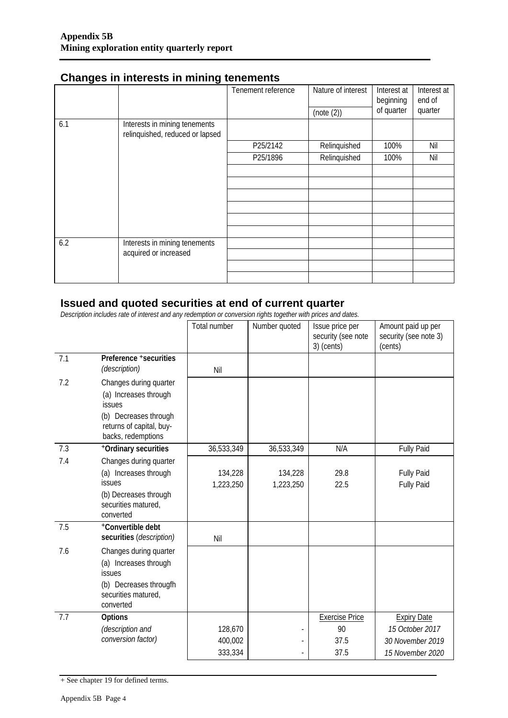|     |                                                                  | Tenement reference | Nature of interest<br>(note (2)) | Interest at<br>beginning<br>of quarter | Interest at<br>end of<br>quarter |
|-----|------------------------------------------------------------------|--------------------|----------------------------------|----------------------------------------|----------------------------------|
| 6.1 | Interests in mining tenements<br>relinquished, reduced or lapsed |                    |                                  |                                        |                                  |
|     |                                                                  | P25/2142           | Relinquished                     | 100%                                   | Nil                              |
|     |                                                                  | P25/1896           | Relinquished                     | 100%                                   | Nil                              |
|     |                                                                  |                    |                                  |                                        |                                  |
|     |                                                                  |                    |                                  |                                        |                                  |
|     |                                                                  |                    |                                  |                                        |                                  |
|     |                                                                  |                    |                                  |                                        |                                  |
|     |                                                                  |                    |                                  |                                        |                                  |
|     |                                                                  |                    |                                  |                                        |                                  |
| 6.2 | Interests in mining tenements                                    |                    |                                  |                                        |                                  |
|     | acquired or increased                                            |                    |                                  |                                        |                                  |
|     |                                                                  |                    |                                  |                                        |                                  |
|     |                                                                  |                    |                                  |                                        |                                  |

## **Changes in interests in mining tenements**

## **Issued and quoted securities at end of current quarter**

*Description includes rate of interest and any redemption or conversion rights together with prices and dates.*

|     |                                                                                                                                | Total number | Number quoted | Issue price per<br>security (see note<br>3) (cents) | Amount paid up per<br>security (see note 3)<br>(cents) |
|-----|--------------------------------------------------------------------------------------------------------------------------------|--------------|---------------|-----------------------------------------------------|--------------------------------------------------------|
| 7.1 | Preference +securities<br>(description)                                                                                        | Nil          |               |                                                     |                                                        |
| 7.2 | Changes during quarter<br>(a) Increases through<br><b>issues</b>                                                               |              |               |                                                     |                                                        |
|     | (b) Decreases through<br>returns of capital, buy-<br>backs, redemptions                                                        |              |               |                                                     |                                                        |
| 7.3 | +Ordinary securities                                                                                                           | 36,533,349   | 36,533,349    | N/A                                                 | Fully Paid                                             |
| 7.4 | Changes during quarter                                                                                                         |              |               |                                                     |                                                        |
|     | (a) Increases through                                                                                                          | 134,228      | 134,228       | 29.8                                                | <b>Fully Paid</b>                                      |
|     | issues                                                                                                                         | 1,223,250    | 1,223,250     | 22.5                                                | <b>Fully Paid</b>                                      |
|     | (b) Decreases through<br>securities matured,<br>converted                                                                      |              |               |                                                     |                                                        |
| 7.5 | +Convertible debt<br>securities (description)                                                                                  | Nil          |               |                                                     |                                                        |
| 7.6 | Changes during quarter<br>(a) Increases through<br><b>issues</b><br>(b) Decreases througfh<br>securities matured,<br>converted |              |               |                                                     |                                                        |
| 7.7 | Options                                                                                                                        |              |               | <b>Exercise Price</b>                               | <b>Expiry Date</b>                                     |
|     | (description and                                                                                                               | 128,670      |               | 90                                                  | 15 October 2017                                        |
|     | conversion factor)                                                                                                             | 400,002      |               | 37.5                                                | 30 November 2019                                       |
|     |                                                                                                                                | 333,334      |               | 37.5                                                | 15 November 2020                                       |

+ See chapter 19 for defined terms.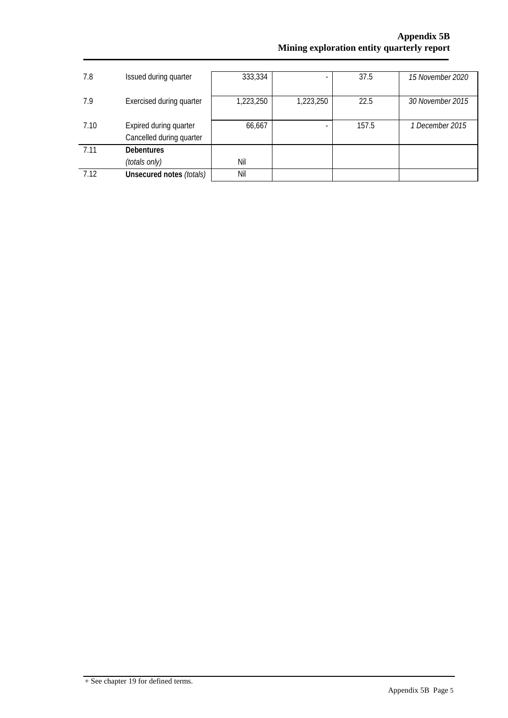| 7.8  | Issued during quarter                              | 333,334   | -                        | 37.5  | 15 November 2020 |
|------|----------------------------------------------------|-----------|--------------------------|-------|------------------|
| 7.9  | Exercised during quarter                           | 1,223,250 | 1,223,250                | 22.5  | 30 November 2015 |
| 7.10 | Expired during quarter<br>Cancelled during quarter | 66,667    | $\overline{\phantom{a}}$ | 157.5 | 1 December 2015  |
| 7.11 | <b>Debentures</b>                                  |           |                          |       |                  |
|      | (totals only)                                      | Nil       |                          |       |                  |
| 7.12 | Unsecured notes (totals)                           | Nil       |                          |       |                  |